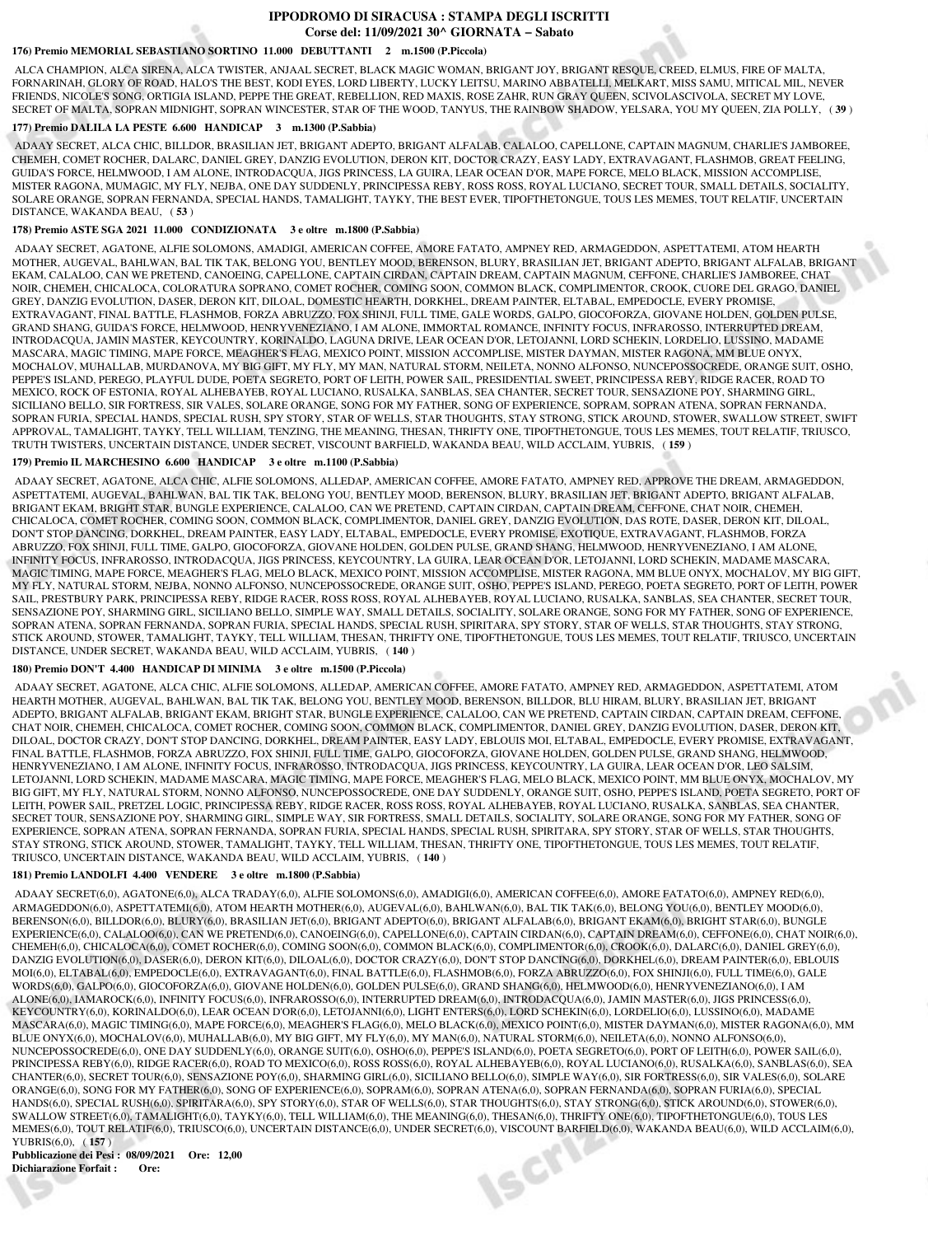### **IPPODROMO DI SIRACUSA : STAMPA DEGLI ISCRITTI Corse del: 11/09/2021 30^ GIORNATA − Sabato**

### **176) Premio MEMORIAL SEBASTIANO SORTINO 11.000 DEBUTTANTI 2 m.1500 (P.Piccola)**

 ALCA CHAMPION, ALCA SIRENA, ALCA TWISTER, ANJAAL SECRET, BLACK MAGIC WOMAN, BRIGANT JOY, BRIGANT RESQUE, CREED, ELMUS, FIRE OF MALTA, FORNARINAH, GLORY OF ROAD, HALO'S THE BEST, KODI EYES, LORD LIBERTY, LUCKY LEITSU, MARINO ABBATELLI, MELKART, MISS SAMU, MITICAL MIL, NEVER FRIENDS, NICOLE'S SONG, ORTIGIA ISLAND, PEPPE THE GREAT, REBELLION, RED MAXIS, ROSE ZAHR, RUN GRAY QUEEN, SCIVOLASCIVOLA, SECRET MY LOVE, SECRET OF MALTA, SOPRAN MIDNIGHT, SOPRAN WINCESTER, STAR OF THE WOOD, TANYUS, THE RAINBOW SHADOW, YELSARA, YOU MY QUEEN, ZIA POLLY, ( **39** )

## **177) Premio DALILA LA PESTE 6.600 HANDICAP 3 m.1300 (P.Sabbia)**

 ADAAY SECRET, ALCA CHIC, BILLDOR, BRASILIAN JET, BRIGANT ADEPTO, BRIGANT ALFALAB, CALALOO, CAPELLONE, CAPTAIN MAGNUM, CHARLIE'S JAMBOREE, CHEMEH, COMET ROCHER, DALARC, DANIEL GREY, DANZIG EVOLUTION, DERON KIT, DOCTOR CRAZY, EASY LADY, EXTRAVAGANT, FLASHMOB, GREAT FEELING, GUIDA'S FORCE, HELMWOOD, I AM ALONE, INTRODACQUA, JIGS PRINCESS, LA GUIRA, LEAR OCEAN D'OR, MAPE FORCE, MELO BLACK, MISSION ACCOMPLISE, MISTER RAGONA, MUMAGIC, MY FLY, NEJBA, ONE DAY SUDDENLY, PRINCIPESSA REBY, ROSS ROSS, ROYAL LUCIANO, SECRET TOUR, SMALL DETAILS, SOCIALITY, SOLARE ORANGE, SOPRAN FERNANDA, SPECIAL HANDS, TAMALIGHT, TAYKY, THE BEST EVER, TIPOFTHETONGUE, TOUS LES MEMES, TOUT RELATIF, UNCERTAIN DISTANCE, WAKANDA BEAU, ( **53** )

## **178) Premio ASTE SGA 2021 11.000 CONDIZIONATA 3 e oltre m.1800 (P.Sabbia)**

 ADAAY SECRET, AGATONE, ALFIE SOLOMONS, AMADIGI, AMERICAN COFFEE, AMORE FATATO, AMPNEY RED, ARMAGEDDON, ASPETTATEMI, ATOM HEARTH MOTHER, AUGEVAL, BAHLWAN, BAL TIK TAK, BELONG YOU, BENTLEY MOOD, BERENSON, BLURY, BRASILIAN JET, BRIGANT ADEPTO, BRIGANT ALFALAB, BRIGANT EKAM, CALALOO, CAN WE PRETEND, CANOEING, CAPELLONE, CAPTAIN CIRDAN, CAPTAIN DREAM, CAPTAIN MAGNUM, CEFFONE, CHARLIE'S JAMBOREE, CHAT NOIR, CHEMEH, CHICALOCA, COLORATURA SOPRANO, COMET ROCHER, COMING SOON, COMMON BLACK, COMPLIMENTOR, CROOK, CUORE DEL GRAGO, DANIEL GREY, DANZIG EVOLUTION, DASER, DERON KIT, DILOAL, DOMESTIC HEARTH, DORKHEL, DREAM PAINTER, ELTABAL, EMPEDOCLE, EVERY PROMISE, EXTRAVAGANT, FINAL BATTLE, FLASHMOB, FORZA ABRUZZO, FOX SHINJI, FULL TIME, GALE WORDS, GALPO, GIOCOFORZA, GIOVANE HOLDEN, GOLDEN PULSE GRAND SHANG, GUIDA'S FORCE, HELMWOOD, HENRYVENEZIANO, I AM ALONE, IMMORTAL ROMANCE, INFINITY FOCUS, INFRAROSSO, INTERRUPTED DREAM, INTRODACQUA, JAMIN MASTER, KEYCOUNTRY, KORINALDO, LAGUNA DRIVE, LEAR OCEAN D'OR, LETOJANNI, LORD SCHEKIN, LORDELIO, LUSSINO, MADAME MASCARA, MAGIC TIMING, MAPE FORCE, MEAGHER'S FLAG, MEXICO POINT, MISSION ACCOMPLISE, MISTER DAYMAN, MISTER RAGONA, MM BLUE ONYX, MOCHALOV, MUHALLAB, MURDANOVA, MY BIG GIFT, MY FLY, MY MAN, NATURAL STORM, NEILETA, NONNO ALFONSO, NUNCEPOSSOCREDE, ORANGE SUIT, OSHO, PEPPE'S ISLAND, PEREGO, PLAYFUL DUDE, POETA SEGRETO, PORT OF LEITH, POWER SAIL, PRESIDENTIAL SWEET, PRINCIPESSA REBY, RIDGE RACER, ROAD TO MEXICO, ROCK OF ESTONIA, ROYAL ALHEBAYEB, ROYAL LUCIANO, RUSALKA, SANBLAS, SEA CHANTER, SECRET TOUR, SENSAZIONE POY, SHARMING GIRL, SICILIANO BELLO, SIR FORTRESS, SIR VALES, SOLARE ORANGE, SONG FOR MY FATHER, SONG OF EXPERIENCE, SOPRAM, SOPRAN ATENA, SOPRAN FERNANDA, SOPRAN FURIA, SPECIAL HANDS, SPECIAL RUSH, SPY STORY, STAR OF WELLS, STAR THOUGHTS, STAY STRONG, STICK AROUND, STOWER, SWALLOW STREET, SWIFT APPROVAL, TAMALIGHT, TAYKY, TELL WILLIAM, TENZING, THE MEANING, THESAN, THRIFTY ONE, TIPOFTHETONGUE, TOUS LES MEMES, TOUT RELATIF, TRIUSCO, TRUTH TWISTERS, UNCERTAIN DISTANCE, UNDER SECRET, VISCOUNT BARFIELD, WAKANDA BEAU, WILD ACCLAIM, YUBRIS, ( **159** )

### **179) Premio IL MARCHESINO 6.600 HANDICAP 3 e oltre m.1100 (P.Sabbia)**

 ADAAY SECRET, AGATONE, ALCA CHIC, ALFIE SOLOMONS, ALLEDAP, AMERICAN COFFEE, AMORE FATATO, AMPNEY RED, APPROVE THE DREAM, ARMAGEDDON, ASPETTATEMI, AUGEVAL, BAHLWAN, BAL TIK TAK, BELONG YOU, BENTLEY MOOD, BERENSON, BLURY, BRASILIAN JET, BRIGANT ADEPTO, BRIGANT ALFALAB, BRIGANT EKAM, BRIGHT STAR, BUNGLE EXPERIENCE, CALALOO, CAN WE PRETEND, CAPTAIN CIRDAN, CAPTAIN DREAM, CEFFONE, CHAT NOIR, CHEMEH, CHICALOCA, COMET ROCHER, COMING SOON, COMMON BLACK, COMPLIMENTOR, DANIEL GREY, DANZIG EVOLUTION, DAS ROTE, DASER, DERON KIT, DILOAL, DON'T STOP DANCING, DORKHEL, DREAM PAINTER, EASY LADY, ELTABAL, EMPEDOCLE, EVERY PROMISE, EXOTIQUE, EXTRAVAGANT, FLASHMOB, FORZA ABRUZZO, FOX SHINJI, FULL TIME, GALPO, GIOCOFORZA, GIOVANE HOLDEN, GOLDEN PULSE, GRAND SHANG, HELMWOOD, HENRYVENEZIANO, I AM ALONE, INFINITY FOCUS, INFRAROSSO, INTRODACQUA, JIGS PRINCESS, KEYCOUNTRY, LA GUIRA, LEAR OCEAN D'OR, LETOJANNI, LORD SCHEKIN, MADAME MASCARA, MAGIC TIMING, MAPE FORCE, MEAGHER'S FLAG, MELO BLACK, MEXICO POINT, MISSION ACCOMPLISE, MISTER RAGONA, MM BLUE ONYX, MOCHALOV, MY BIG GIFT, MY FLY, NATURAL STORM, NEJBA, NONNO ALFONSO, NUNCEPOSSOCREDE, ORANGE SUIT, OSHO, PEPPE'S ISLAND, PEREGO, POETA SEGRETO, PORT OF LEITH, POWER SAIL, PRESTBURY PARK, PRINCIPESSA REBY, RIDGE RACER, ROSS ROSS, ROYAL ALHEBAYEB, ROYAL LUCIANO, RUSALKA, SANBLAS, SEA CHANTER, SECRET TOUR, SENSAZIONE POY, SHARMING GIRL, SICILIANO BELLO, SIMPLE WAY, SMALL DETAILS, SOCIALITY, SOLARE ORANGE, SONG FOR MY FATHER, SONG OF EXPERIENCE, SOPRAN ATENA, SOPRAN FERNANDA, SOPRAN FURIA, SPECIAL HANDS, SPECIAL RUSH, SPIRITARA, SPY STORY, STAR OF WELLS, STAR THOUGHTS, STAY STRONG, STICK AROUND, STOWER, TAMALIGHT, TAYKY, TELL WILLIAM, THESAN, THRIFTY ONE, TIPOFTHETONGUE, TOUS LES MEMES, TOUT RELATIF, TRIUSCO, UNCERTAIN DISTANCE, UNDER SECRET, WAKANDA BEAU, WILD ACCLAIM, YUBRIS, ( **140** )

### **180) Premio DON'T 4.400 HANDICAP DI MINIMA 3 e oltre m.1500 (P.Piccola)**

 ADAAY SECRET, AGATONE, ALCA CHIC, ALFIE SOLOMONS, ALLEDAP, AMERICAN COFFEE, AMORE FATATO, AMPNEY RED, ARMAGEDDON, ASPETTATEMI, ATOM HEARTH MOTHER, AUGEVAL, BAHLWAN, BAL TIK TAK, BELONG YOU, BENTLEY MOOD, BERENSON, BILLDOR, BLU HIRAM, BLURY, BRASILIAN JET, BRIGANT ADEPTO, BRIGANT ALFALAB, BRIGANT EKAM, BRIGHT STAR, BUNGLE EXPERIENCE, CALALOO, CAN WE PRETEND, CAPTAIN CIRDAN, CAPTAIN DREAM, CEFFONE, CHAT NOIR, CHEMEH, CHICALOCA, COMET ROCHER, COMING SOON, COMMON BLACK, COMPLIMENTOR, DANIEL GREY, DANZIG EVOLUTION, DASER, DERON KIT, DILOAL, DOCTOR CRAZY, DON'T STOP DANCING, DORKHEL, DREAM PAINTER, EASY LADY, EBLOUIS MOI, ELTABAL, EMPEDOCLE, EVERY PROMISE, EXTRAVAGANT, FINAL BATTLE, FLASHMOB, FORZA ABRUZZO, FOX SHINJI, FULL TIME, GALPO, GIOCOFORZA, GIOVANE HOLDEN, GOLDEN PULSE, GRAND SHANG, HELMWOOD, HENRYVENEZIANO, I AM ALONE, INFINITY FOCUS, INFRAROSSO, INTRODACQUA, JIGS PRINCESS, KEYCOUNTRY, LA GUIRA, LEAR OCEAN D'OR, LEO SALSIM, LETOJANNI, LORD SCHEKIN, MADAME MASCARA, MAGIC TIMING, MAPE FORCE, MEAGHER'S FLAG, MELO BLACK, MEXICO POINT, MM BLUE ONYX, MOCHALOV, MY BIG GIFT, MY FLY, NATURAL STORM, NONNO ALFONSO, NUNCEPOSSOCREDE, ONE DAY SUDDENLY, ORANGE SUIT, OSHO, PEPPE'S ISLAND, POETA SEGRETO, PORT OF LEITH, POWER SAIL, PRETZEL LOGIC, PRINCIPESSA REBY, RIDGE RACER, ROSS ROSS, ROYAL ALHEBAYEB, ROYAL LUCIANO, RUSALKA, SANBLAS, SEA CHANTER, SECRET TOUR, SENSAZIONE POY, SHARMING GIRL, SIMPLE WAY, SIR FORTRESS, SMALL DETAILS, SOCIALITY, SOLARE ORANGE, SONG FOR MY FATHER, SONG OF EXPERIENCE, SOPRAN ATENA, SOPRAN FERNANDA, SOPRAN FURIA, SPECIAL HANDS, SPECIAL RUSH, SPIRITARA, SPY STORY, STAR OF WELLS, STAR THOUGHTS, STAY STRONG, STICK AROUND, STOWER, TAMALIGHT, TAYKY, TELL WILLIAM, THESAN, THRIFTY ONE, TIPOFTHETONGUE, TOUS LES MEMES, TOUT RELATIF, TRIUSCO, UNCERTAIN DISTANCE, WAKANDA BEAU, WILD ACCLAIM, YUBRIS, ( **140** )

# **181) Premio LANDOLFI 4.400 VENDERE 3 e oltre m.1800 (P.Sabbia)**

 ADAAY SECRET(6,0), AGATONE(6,0), ALCA TRADAY(6,0), ALFIE SOLOMONS(6,0), AMADIGI(6,0), AMERICAN COFFEE(6,0), AMORE FATATO(6,0), AMPNEY RED(6,0), ARMAGEDDON(6,0), ASPETTATEMI(6,0), ATOM HEARTH MOTHER(6,0), AUGEVAL(6,0), BAHLWAN(6,0), BAL TIK TAK(6,0), BELONG YOU(6,0), BENTLEY MOOD(6,0), BERENSON(6,0), BILLDOR(6,0), BLURY(6,0), BRASILIAN JET(6,0), BRIGANT ADEPTO(6,0), BRIGANT ALFALAB(6,0), BRIGANT EKAM(6,0), BRIGHT STAR(6,0), BUNGLE EXPERIENCE(6,0), CALALOO(6,0), CAN WE PRETEND(6,0), CANOEING(6,0), CAPELLONE(6,0), CAPTAIN CIRDAN(6,0), CAPTAIN DREAM(6,0), CEFFONE(6,0), CHAT NOIR(6,0), CHEMEH(6,0), CHICALOCA(6,0), COMET ROCHER(6,0), COMING SOON(6,0), COMMON BLACK(6,0), COMPLIMENTOR(6,0), CROOK(6,0), DALARC(6,0), DANIEL GREY(6,0), DANZIG EVOLUTION(6,0), DASER(6,0), DERON KIT(6,0), DILOAL(6,0), DOCTOR CRAZY(6,0), DON'T STOP DANCING(6,0), DORKHEL(6,0), DREAM PAINTER(6,0), EBLOUIS MOI(6,0), ELTABAL(6,0), EMPEDOCLE(6,0), EXTRAVAGANT(6,0), FINAL BATTLE(6,0), FLASHMOB(6,0), FORZA ABRUZZO(6,0), FOX SHINJI(6,0), FULL TIME(6,0), GALE WORDS(6,0), GALPO(6,0), GIOCOFORZA(6,0), GIOVANE HOLDEN(6,0), GOLDEN PULSE(6,0), GRAND SHANG(6,0), HELMWOOD(6,0), HENRYVENEZIANO(6,0), I AM ALONE(6,0), IAMAROCK(6,0), INFINITY FOCUS(6,0), INFRAROSSO(6,0), INTERRUPTED DREAM(6,0), INTRODACQUA(6,0), JAMIN MASTER(6,0), JIGS PRINCESS(6,0), KEYCOUNTRY(6,0), KORINALDO(6,0), LEAR OCEAN D'OR(6,0), LETOJANNI(6,0), LIGHT ENTERS(6,0), LORD SCHEKIN(6,0), LORDELIO(6,0), LUSSINO(6,0), MADAME MASCARA(6,0), MAGIC TIMING(6,0), MAPE FORCE(6,0), MEAGHER'S FLAG(6,0), MELO BLACK(6,0), MEXICO POINT(6,0), MISTER DAYMAN(6,0), MISTER RAGONA(6,0), MM BLUE ONYX(6,0), MOCHALOV(6,0), MUHALLAB(6,0), MY BIG GIFT, MY FLY(6,0), MY MAN(6,0), NATURAL STORM(6,0), NEILETA(6,0), NONNO ALFONSO(6,0), NUNCEPOSSOCREDE(6,0), ONE DAY SUDDENLY(6,0), ORANGE SUIT(6,0), OSHO(6,0), PEPPE'S ISLAND(6,0), POETA SEGRETO(6,0), PORT OF LEITH(6,0), POWER SAIL(6,0), PRINCIPESSA REBY(6,0), RIDGE RACER(6,0), ROAD TO MEXICO(6,0), ROSS ROSS(6,0), ROYAL ALHEBAYEB(6,0), ROYAL LUCIANO(6,0), RUSALKA(6,0), SANBLAS(6,0), SEA CHANTER(6,0), SECRET TOUR(6,0), SENSAZIONE POY(6,0), SHARMING GIRL(6,0), SICILIANO BELLO(6,0), SIMPLE WAY(6,0), SIR FORTRESS(6,0), SIR VALES(6,0), SOLARE ORANGE(6,0), SONG FOR MY FATHER(6,0), SONG OF EXPERIENCE(6,0), SOPRAM(6,0), SOPRAN ATENA(6,0), SOPRAN FERNANDA(6,0), SOPRAN FURIA(6,0), SPECIAL HANDS(6,0), SPECIAL RUSH(6,0), SPIRITARA(6,0), SPY STORY(6,0), STAR OF WELLS(6,0), STAR THOUGHTS(6,0), STAY STRONG(6,0), STICK AROUND(6,0), STOWER(6,0), SWALLOW STREET(6,0), TAMALIGHT(6,0), TAYKY(6,0), TELL WILLIAM(6,0), THE MEANING(6,0), THESAN(6,0), THRIFTY ONE(6,0), TIPOFTHETONGUE(6,0), TOUS LES MEMES(6,0), TOUT RELATIF(6,0), TRIUSCO(6,0), UNCERTAIN DISTANCE(6,0), UNDER SECRET(6,0), VISCOUNT BARFIELD(6,0), WAKANDA BEAU(6,0), WILD ACCLAIM(6,0), YUBRIS(6,0), ( **157** )  $e^{C\zeta}$ 

**Pubblicazione dei Pesi : 08/09/2021 Ore: 12,00 Dichiarazione Forfait : Ore:**